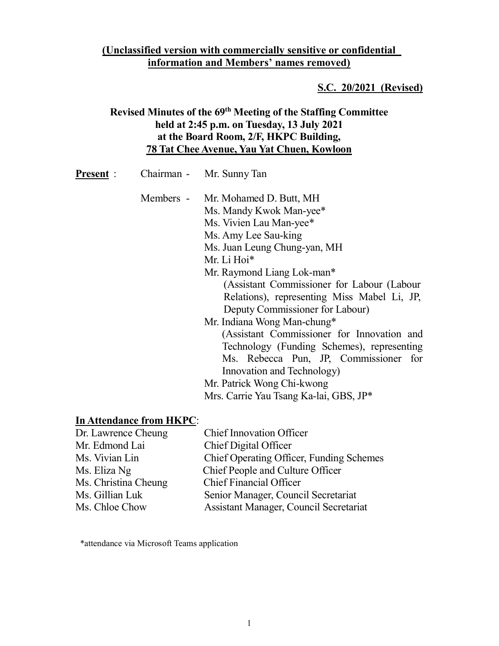### (Unclassified version with commercially sensitive or confidential information and Members' names removed)

#### S.C. 20/2021 (Revised)

## Revised Minutes of the 69th Meeting of the Staffing Committee held at 2:45 p.m. on Tuesday, 13 July 2021 at the Board Room, 2/F, HKPC Building, 78 Tat Chee Avenue, Yau Yat Chuen, Kowloon

| Chairman -<br><b>Present:</b> | Mr. Sunny Tan |
|-------------------------------|---------------|
|-------------------------------|---------------|

- Members Mr. Mohamed D. Butt, MH Ms. Mandy Kwok Man-yee\* Ms. Vivien Lau Man-yee\* Ms. Amy Lee Sau-king Ms. Juan Leung Chung-yan, MH Mr. Li Hoi\* Mr. Raymond Liang Lok-man\* (Assistant Commissioner for Labour (Labour Relations), representing Miss Mabel Li, JP, Deputy Commissioner for Labour) Mr. Indiana Wong Man-chung\* (Assistant Commissioner for Innovation and Technology (Funding Schemes), representing Ms. Rebecca Pun, JP, Commissioner for Innovation and Technology)
	- Mr. Patrick Wong Chi-kwong
	- Mrs. Carrie Yau Tsang Ka-lai, GBS, JP\*

### In Attendance from HKPC:

| Dr. Lawrence Cheung  | <b>Chief Innovation Officer</b>          |
|----------------------|------------------------------------------|
| Mr. Edmond Lai       | Chief Digital Officer                    |
| Ms. Vivian Lin       | Chief Operating Officer, Funding Schemes |
| Ms. Eliza Ng         | Chief People and Culture Officer         |
| Ms. Christina Cheung | <b>Chief Financial Officer</b>           |
| Ms. Gillian Luk      | Senior Manager, Council Secretariat      |
| Ms. Chloe Chow       | Assistant Manager, Council Secretariat   |

\*attendance via Microsoft Teams application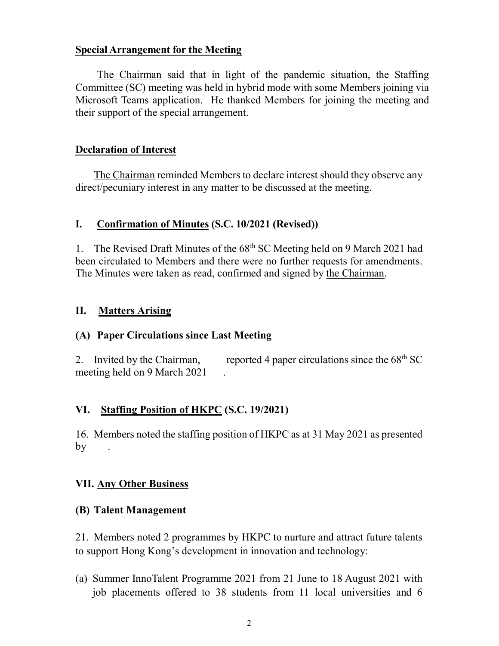#### Special Arrangement for the Meeting

The Chairman said that in light of the pandemic situation, the Staffing Committee (SC) meeting was held in hybrid mode with some Members joining via Microsoft Teams application. He thanked Members for joining the meeting and their support of the special arrangement.

### Declaration of Interest

The Chairman reminded Members to declare interest should they observe any direct/pecuniary interest in any matter to be discussed at the meeting.

### I. Confirmation of Minutes (S.C. 10/2021 (Revised))

1. The Revised Draft Minutes of the  $68<sup>th</sup>$  SC Meeting held on 9 March 2021 had been circulated to Members and there were no further requests for amendments. The Minutes were taken as read, confirmed and signed by the Chairman.

### II. Matters Arising

### (A) Paper Circulations since Last Meeting

2. Invited by the Chairman, reported 4 paper circulations since the  $68<sup>th</sup>$  SC meeting held on 9 March 2021 .

### VI. Staffing Position of HKPC (S.C. 19/2021)

16. Members noted the staffing position of HKPC as at 31 May 2021 as presented  $by \quad .$ 

### VII. Any Other Business

### (B) Talent Management

21. Members noted 2 programmes by HKPC to nurture and attract future talents to support Hong Kong's development in innovation and technology:

(a) Summer InnoTalent Programme 2021 from 21 June to 18 August 2021 with job placements offered to 38 students from 11 local universities and 6